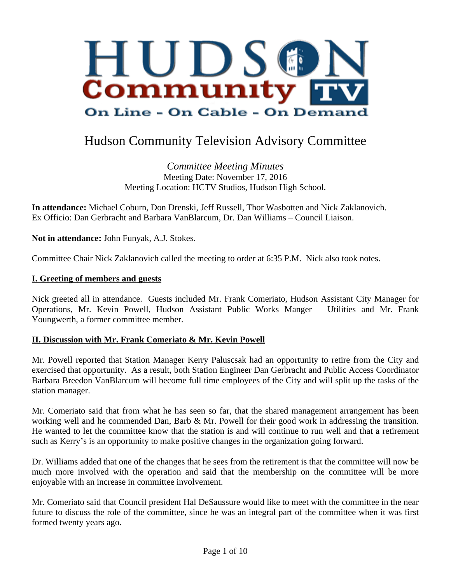

# Hudson Community Television Advisory Committee

*Committee Meeting Minutes* Meeting Date: November 17, 2016 Meeting Location: HCTV Studios, Hudson High School.

**In attendance:** Michael Coburn, Don Drenski, Jeff Russell, Thor Wasbotten and Nick Zaklanovich. Ex Officio: Dan Gerbracht and Barbara VanBlarcum, Dr. Dan Williams – Council Liaison.

**Not in attendance:** John Funyak, A.J. Stokes.

Committee Chair Nick Zaklanovich called the meeting to order at 6:35 P.M. Nick also took notes.

#### **I. Greeting of members and guests**

Nick greeted all in attendance. Guests included Mr. Frank Comeriato, Hudson Assistant City Manager for Operations, Mr. Kevin Powell, Hudson Assistant Public Works Manger – Utilities and Mr. Frank Youngwerth, a former committee member.

#### **II. Discussion with Mr. Frank Comeriato & Mr. Kevin Powell**

Mr. Powell reported that Station Manager Kerry Paluscsak had an opportunity to retire from the City and exercised that opportunity. As a result, both Station Engineer Dan Gerbracht and Public Access Coordinator Barbara Breedon VanBlarcum will become full time employees of the City and will split up the tasks of the station manager.

Mr. Comeriato said that from what he has seen so far, that the shared management arrangement has been working well and he commended Dan, Barb & Mr. Powell for their good work in addressing the transition. He wanted to let the committee know that the station is and will continue to run well and that a retirement such as Kerry's is an opportunity to make positive changes in the organization going forward.

Dr. Williams added that one of the changes that he sees from the retirement is that the committee will now be much more involved with the operation and said that the membership on the committee will be more enjoyable with an increase in committee involvement.

Mr. Comeriato said that Council president Hal DeSaussure would like to meet with the committee in the near future to discuss the role of the committee, since he was an integral part of the committee when it was first formed twenty years ago.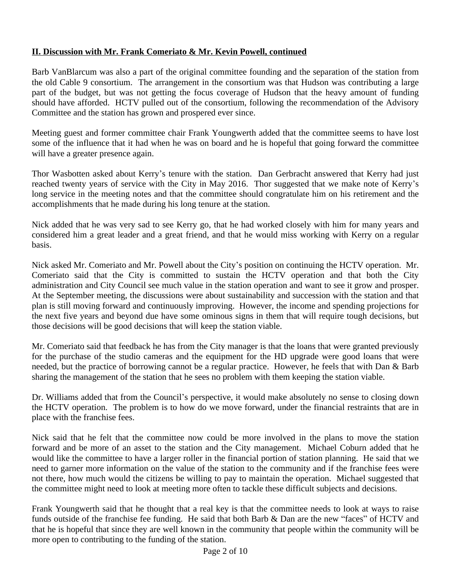## **II. Discussion with Mr. Frank Comeriato & Mr. Kevin Powell, continued**

Barb VanBlarcum was also a part of the original committee founding and the separation of the station from the old Cable 9 consortium. The arrangement in the consortium was that Hudson was contributing a large part of the budget, but was not getting the focus coverage of Hudson that the heavy amount of funding should have afforded. HCTV pulled out of the consortium, following the recommendation of the Advisory Committee and the station has grown and prospered ever since.

Meeting guest and former committee chair Frank Youngwerth added that the committee seems to have lost some of the influence that it had when he was on board and he is hopeful that going forward the committee will have a greater presence again.

Thor Wasbotten asked about Kerry's tenure with the station. Dan Gerbracht answered that Kerry had just reached twenty years of service with the City in May 2016. Thor suggested that we make note of Kerry's long service in the meeting notes and that the committee should congratulate him on his retirement and the accomplishments that he made during his long tenure at the station.

Nick added that he was very sad to see Kerry go, that he had worked closely with him for many years and considered him a great leader and a great friend, and that he would miss working with Kerry on a regular basis.

Nick asked Mr. Comeriato and Mr. Powell about the City's position on continuing the HCTV operation. Mr. Comeriato said that the City is committed to sustain the HCTV operation and that both the City administration and City Council see much value in the station operation and want to see it grow and prosper. At the September meeting, the discussions were about sustainability and succession with the station and that plan is still moving forward and continuously improving. However, the income and spending projections for the next five years and beyond due have some ominous signs in them that will require tough decisions, but those decisions will be good decisions that will keep the station viable.

Mr. Comeriato said that feedback he has from the City manager is that the loans that were granted previously for the purchase of the studio cameras and the equipment for the HD upgrade were good loans that were needed, but the practice of borrowing cannot be a regular practice. However, he feels that with Dan & Barb sharing the management of the station that he sees no problem with them keeping the station viable.

Dr. Williams added that from the Council's perspective, it would make absolutely no sense to closing down the HCTV operation. The problem is to how do we move forward, under the financial restraints that are in place with the franchise fees.

Nick said that he felt that the committee now could be more involved in the plans to move the station forward and be more of an asset to the station and the City management. Michael Coburn added that he would like the committee to have a larger roller in the financial portion of station planning. He said that we need to garner more information on the value of the station to the community and if the franchise fees were not there, how much would the citizens be willing to pay to maintain the operation. Michael suggested that the committee might need to look at meeting more often to tackle these difficult subjects and decisions.

Frank Youngwerth said that he thought that a real key is that the committee needs to look at ways to raise funds outside of the franchise fee funding. He said that both Barb & Dan are the new "faces" of HCTV and that he is hopeful that since they are well known in the community that people within the community will be more open to contributing to the funding of the station.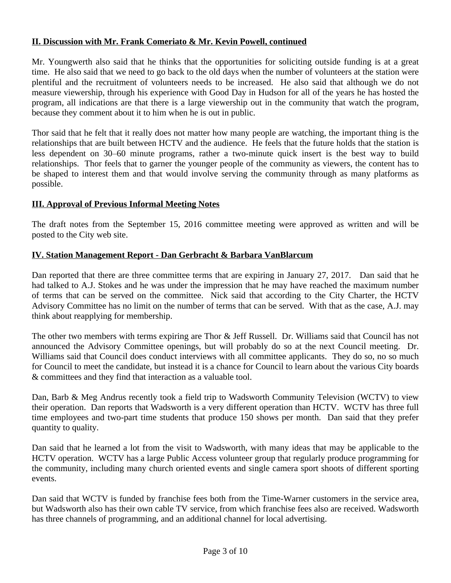#### **II. Discussion with Mr. Frank Comeriato & Mr. Kevin Powell, continued**

Mr. Youngwerth also said that he thinks that the opportunities for soliciting outside funding is at a great time. He also said that we need to go back to the old days when the number of volunteers at the station were plentiful and the recruitment of volunteers needs to be increased. He also said that although we do not measure viewership, through his experience with Good Day in Hudson for all of the years he has hosted the program, all indications are that there is a large viewership out in the community that watch the program, because they comment about it to him when he is out in public.

Thor said that he felt that it really does not matter how many people are watching, the important thing is the relationships that are built between HCTV and the audience. He feels that the future holds that the station is less dependent on 30–60 minute programs, rather a two-minute quick insert is the best way to build relationships. Thor feels that to garner the younger people of the community as viewers, the content has to be shaped to interest them and that would involve serving the community through as many platforms as possible.

## **III. Approval of Previous Informal Meeting Notes**

The draft notes from the September 15, 2016 committee meeting were approved as written and will be posted to the City web site.

## **IV. Station Management Report - Dan Gerbracht & Barbara VanBlarcum**

Dan reported that there are three committee terms that are expiring in January 27, 2017. Dan said that he had talked to A.J. Stokes and he was under the impression that he may have reached the maximum number of terms that can be served on the committee. Nick said that according to the City Charter, the HCTV Advisory Committee has no limit on the number of terms that can be served. With that as the case, A.J. may think about reapplying for membership.

The other two members with terms expiring are Thor & Jeff Russell. Dr. Williams said that Council has not announced the Advisory Committee openings, but will probably do so at the next Council meeting. Dr. Williams said that Council does conduct interviews with all committee applicants. They do so, no so much for Council to meet the candidate, but instead it is a chance for Council to learn about the various City boards & committees and they find that interaction as a valuable tool.

Dan, Barb & Meg Andrus recently took a field trip to Wadsworth Community Television (WCTV) to view their operation. Dan reports that Wadsworth is a very different operation than HCTV. WCTV has three full time employees and two-part time students that produce 150 shows per month. Dan said that they prefer quantity to quality.

Dan said that he learned a lot from the visit to Wadsworth, with many ideas that may be applicable to the HCTV operation. WCTV has a large Public Access volunteer group that regularly produce programming for the community, including many church oriented events and single camera sport shoots of different sporting events.

Dan said that WCTV is funded by franchise fees both from the Time-Warner customers in the service area, but Wadsworth also has their own cable TV service, from which franchise fees also are received. Wadsworth has three channels of programming, and an additional channel for local advertising.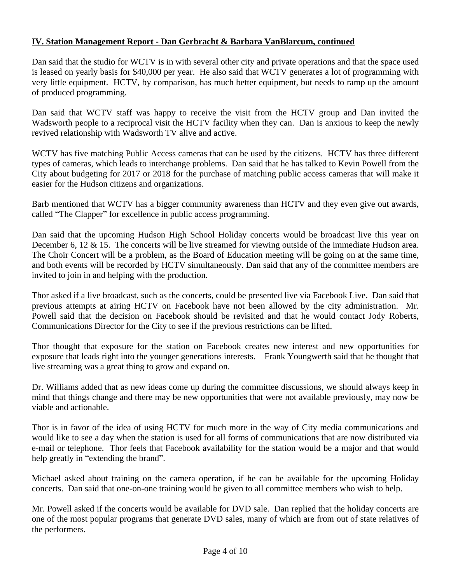## **IV. Station Management Report - Dan Gerbracht & Barbara VanBlarcum, continued**

Dan said that the studio for WCTV is in with several other city and private operations and that the space used is leased on yearly basis for \$40,000 per year. He also said that WCTV generates a lot of programming with very little equipment. HCTV, by comparison, has much better equipment, but needs to ramp up the amount of produced programming.

Dan said that WCTV staff was happy to receive the visit from the HCTV group and Dan invited the Wadsworth people to a reciprocal visit the HCTV facility when they can. Dan is anxious to keep the newly revived relationship with Wadsworth TV alive and active.

WCTV has five matching Public Access cameras that can be used by the citizens. HCTV has three different types of cameras, which leads to interchange problems. Dan said that he has talked to Kevin Powell from the City about budgeting for 2017 or 2018 for the purchase of matching public access cameras that will make it easier for the Hudson citizens and organizations.

Barb mentioned that WCTV has a bigger community awareness than HCTV and they even give out awards, called "The Clapper" for excellence in public access programming.

Dan said that the upcoming Hudson High School Holiday concerts would be broadcast live this year on December 6, 12 & 15. The concerts will be live streamed for viewing outside of the immediate Hudson area. The Choir Concert will be a problem, as the Board of Education meeting will be going on at the same time, and both events will be recorded by HCTV simultaneously. Dan said that any of the committee members are invited to join in and helping with the production.

Thor asked if a live broadcast, such as the concerts, could be presented live via Facebook Live. Dan said that previous attempts at airing HCTV on Facebook have not been allowed by the city administration. Mr. Powell said that the decision on Facebook should be revisited and that he would contact Jody Roberts, Communications Director for the City to see if the previous restrictions can be lifted.

Thor thought that exposure for the station on Facebook creates new interest and new opportunities for exposure that leads right into the younger generations interests. Frank Youngwerth said that he thought that live streaming was a great thing to grow and expand on.

Dr. Williams added that as new ideas come up during the committee discussions, we should always keep in mind that things change and there may be new opportunities that were not available previously, may now be viable and actionable.

Thor is in favor of the idea of using HCTV for much more in the way of City media communications and would like to see a day when the station is used for all forms of communications that are now distributed via e-mail or telephone. Thor feels that Facebook availability for the station would be a major and that would help greatly in "extending the brand".

Michael asked about training on the camera operation, if he can be available for the upcoming Holiday concerts. Dan said that one-on-one training would be given to all committee members who wish to help.

Mr. Powell asked if the concerts would be available for DVD sale. Dan replied that the holiday concerts are one of the most popular programs that generate DVD sales, many of which are from out of state relatives of the performers.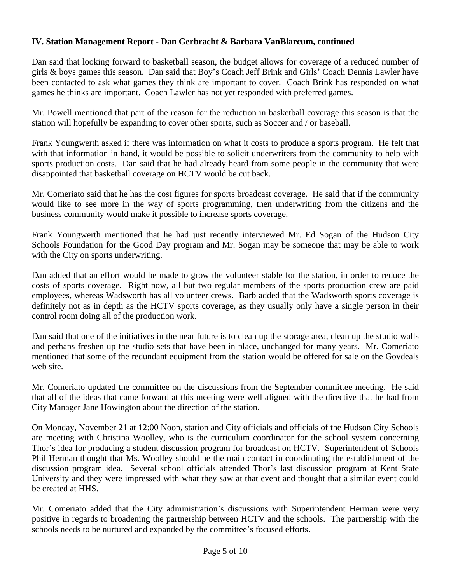## **IV. Station Management Report - Dan Gerbracht & Barbara VanBlarcum, continued**

Dan said that looking forward to basketball season, the budget allows for coverage of a reduced number of girls & boys games this season. Dan said that Boy's Coach Jeff Brink and Girls' Coach Dennis Lawler have been contacted to ask what games they think are important to cover. Coach Brink has responded on what games he thinks are important. Coach Lawler has not yet responded with preferred games.

Mr. Powell mentioned that part of the reason for the reduction in basketball coverage this season is that the station will hopefully be expanding to cover other sports, such as Soccer and / or baseball.

Frank Youngwerth asked if there was information on what it costs to produce a sports program. He felt that with that information in hand, it would be possible to solicit underwriters from the community to help with sports production costs. Dan said that he had already heard from some people in the community that were disappointed that basketball coverage on HCTV would be cut back.

Mr. Comeriato said that he has the cost figures for sports broadcast coverage. He said that if the community would like to see more in the way of sports programming, then underwriting from the citizens and the business community would make it possible to increase sports coverage.

Frank Youngwerth mentioned that he had just recently interviewed Mr. Ed Sogan of the Hudson City Schools Foundation for the Good Day program and Mr. Sogan may be someone that may be able to work with the City on sports underwriting.

Dan added that an effort would be made to grow the volunteer stable for the station, in order to reduce the costs of sports coverage. Right now, all but two regular members of the sports production crew are paid employees, whereas Wadsworth has all volunteer crews. Barb added that the Wadsworth sports coverage is definitely not as in depth as the HCTV sports coverage, as they usually only have a single person in their control room doing all of the production work.

Dan said that one of the initiatives in the near future is to clean up the storage area, clean up the studio walls and perhaps freshen up the studio sets that have been in place, unchanged for many years. Mr. Comeriato mentioned that some of the redundant equipment from the station would be offered for sale on the Govdeals web site.

Mr. Comeriato updated the committee on the discussions from the September committee meeting. He said that all of the ideas that came forward at this meeting were well aligned with the directive that he had from City Manager Jane Howington about the direction of the station.

On Monday, November 21 at 12:00 Noon, station and City officials and officials of the Hudson City Schools are meeting with Christina Woolley, who is the curriculum coordinator for the school system concerning Thor's idea for producing a student discussion program for broadcast on HCTV. Superintendent of Schools Phil Herman thought that Ms. Woolley should be the main contact in coordinating the establishment of the discussion program idea. Several school officials attended Thor's last discussion program at Kent State University and they were impressed with what they saw at that event and thought that a similar event could be created at HHS.

Mr. Comeriato added that the City administration's discussions with Superintendent Herman were very positive in regards to broadening the partnership between HCTV and the schools. The partnership with the schools needs to be nurtured and expanded by the committee's focused efforts.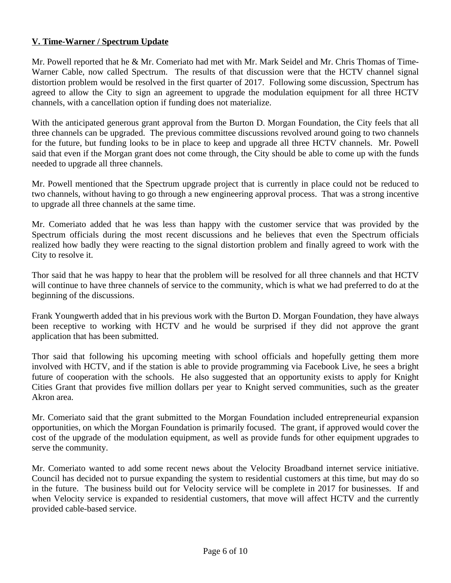#### **V. Time-Warner / Spectrum Update**

Mr. Powell reported that he & Mr. Comeriato had met with Mr. Mark Seidel and Mr. Chris Thomas of Time-Warner Cable, now called Spectrum. The results of that discussion were that the HCTV channel signal distortion problem would be resolved in the first quarter of 2017. Following some discussion, Spectrum has agreed to allow the City to sign an agreement to upgrade the modulation equipment for all three HCTV channels, with a cancellation option if funding does not materialize.

With the anticipated generous grant approval from the Burton D. Morgan Foundation, the City feels that all three channels can be upgraded. The previous committee discussions revolved around going to two channels for the future, but funding looks to be in place to keep and upgrade all three HCTV channels. Mr. Powell said that even if the Morgan grant does not come through, the City should be able to come up with the funds needed to upgrade all three channels.

Mr. Powell mentioned that the Spectrum upgrade project that is currently in place could not be reduced to two channels, without having to go through a new engineering approval process. That was a strong incentive to upgrade all three channels at the same time.

Mr. Comeriato added that he was less than happy with the customer service that was provided by the Spectrum officials during the most recent discussions and he believes that even the Spectrum officials realized how badly they were reacting to the signal distortion problem and finally agreed to work with the City to resolve it.

Thor said that he was happy to hear that the problem will be resolved for all three channels and that HCTV will continue to have three channels of service to the community, which is what we had preferred to do at the beginning of the discussions.

Frank Youngwerth added that in his previous work with the Burton D. Morgan Foundation, they have always been receptive to working with HCTV and he would be surprised if they did not approve the grant application that has been submitted.

Thor said that following his upcoming meeting with school officials and hopefully getting them more involved with HCTV, and if the station is able to provide programming via Facebook Live, he sees a bright future of cooperation with the schools. He also suggested that an opportunity exists to apply for Knight Cities Grant that provides five million dollars per year to Knight served communities, such as the greater Akron area.

Mr. Comeriato said that the grant submitted to the Morgan Foundation included entrepreneurial expansion opportunities, on which the Morgan Foundation is primarily focused. The grant, if approved would cover the cost of the upgrade of the modulation equipment, as well as provide funds for other equipment upgrades to serve the community.

Mr. Comeriato wanted to add some recent news about the Velocity Broadband internet service initiative. Council has decided not to pursue expanding the system to residential customers at this time, but may do so in the future. The business build out for Velocity service will be complete in 2017 for businesses. If and when Velocity service is expanded to residential customers, that move will affect HCTV and the currently provided cable-based service.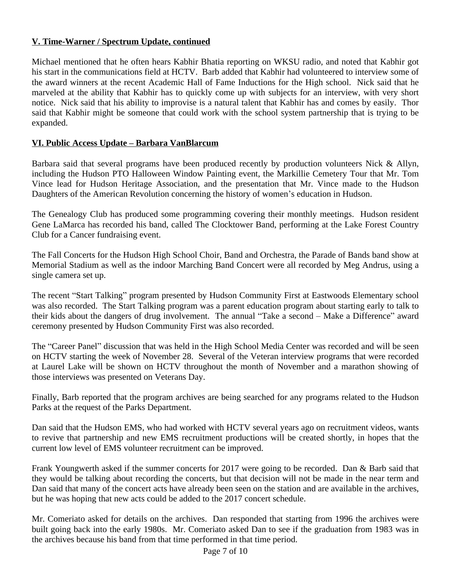#### **V. Time-Warner / Spectrum Update, continued**

Michael mentioned that he often hears Kabhir Bhatia reporting on WKSU radio, and noted that Kabhir got his start in the communications field at HCTV. Barb added that Kabhir had volunteered to interview some of the award winners at the recent Academic Hall of Fame Inductions for the High school. Nick said that he marveled at the ability that Kabhir has to quickly come up with subjects for an interview, with very short notice. Nick said that his ability to improvise is a natural talent that Kabhir has and comes by easily. Thor said that Kabhir might be someone that could work with the school system partnership that is trying to be expanded.

### **VI. Public Access Update – Barbara VanBlarcum**

Barbara said that several programs have been produced recently by production volunteers Nick & Allyn, including the Hudson PTO Halloween Window Painting event, the Markillie Cemetery Tour that Mr. Tom Vince lead for Hudson Heritage Association, and the presentation that Mr. Vince made to the Hudson Daughters of the American Revolution concerning the history of women's education in Hudson.

The Genealogy Club has produced some programming covering their monthly meetings. Hudson resident Gene LaMarca has recorded his band, called The Clocktower Band, performing at the Lake Forest Country Club for a Cancer fundraising event.

The Fall Concerts for the Hudson High School Choir, Band and Orchestra, the Parade of Bands band show at Memorial Stadium as well as the indoor Marching Band Concert were all recorded by Meg Andrus, using a single camera set up.

The recent "Start Talking" program presented by Hudson Community First at Eastwoods Elementary school was also recorded. The Start Talking program was a parent education program about starting early to talk to their kids about the dangers of drug involvement. The annual "Take a second – Make a Difference" award ceremony presented by Hudson Community First was also recorded.

The "Career Panel" discussion that was held in the High School Media Center was recorded and will be seen on HCTV starting the week of November 28. Several of the Veteran interview programs that were recorded at Laurel Lake will be shown on HCTV throughout the month of November and a marathon showing of those interviews was presented on Veterans Day.

Finally, Barb reported that the program archives are being searched for any programs related to the Hudson Parks at the request of the Parks Department.

Dan said that the Hudson EMS, who had worked with HCTV several years ago on recruitment videos, wants to revive that partnership and new EMS recruitment productions will be created shortly, in hopes that the current low level of EMS volunteer recruitment can be improved.

Frank Youngwerth asked if the summer concerts for 2017 were going to be recorded. Dan & Barb said that they would be talking about recording the concerts, but that decision will not be made in the near term and Dan said that many of the concert acts have already been seen on the station and are available in the archives, but he was hoping that new acts could be added to the 2017 concert schedule.

Mr. Comeriato asked for details on the archives. Dan responded that starting from 1996 the archives were built going back into the early 1980s. Mr. Comeriato asked Dan to see if the graduation from 1983 was in the archives because his band from that time performed in that time period.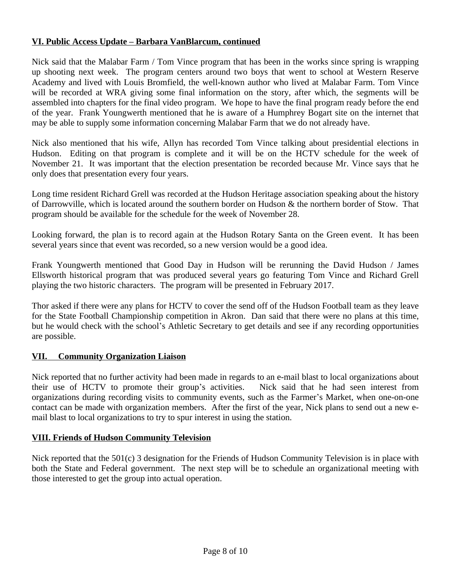### **VI. Public Access Update – Barbara VanBlarcum, continued**

Nick said that the Malabar Farm / Tom Vince program that has been in the works since spring is wrapping up shooting next week. The program centers around two boys that went to school at Western Reserve Academy and lived with Louis Bromfield, the well-known author who lived at Malabar Farm. Tom Vince will be recorded at WRA giving some final information on the story, after which, the segments will be assembled into chapters for the final video program. We hope to have the final program ready before the end of the year. Frank Youngwerth mentioned that he is aware of a Humphrey Bogart site on the internet that may be able to supply some information concerning Malabar Farm that we do not already have.

Nick also mentioned that his wife, Allyn has recorded Tom Vince talking about presidential elections in Hudson. Editing on that program is complete and it will be on the HCTV schedule for the week of November 21. It was important that the election presentation be recorded because Mr. Vince says that he only does that presentation every four years.

Long time resident Richard Grell was recorded at the Hudson Heritage association speaking about the history of Darrowville, which is located around the southern border on Hudson & the northern border of Stow. That program should be available for the schedule for the week of November 28.

Looking forward, the plan is to record again at the Hudson Rotary Santa on the Green event. It has been several years since that event was recorded, so a new version would be a good idea.

Frank Youngwerth mentioned that Good Day in Hudson will be rerunning the David Hudson / James Ellsworth historical program that was produced several years go featuring Tom Vince and Richard Grell playing the two historic characters. The program will be presented in February 2017.

Thor asked if there were any plans for HCTV to cover the send off of the Hudson Football team as they leave for the State Football Championship competition in Akron. Dan said that there were no plans at this time, but he would check with the school's Athletic Secretary to get details and see if any recording opportunities are possible.

#### **VII. Community Organization Liaison**

Nick reported that no further activity had been made in regards to an e-mail blast to local organizations about their use of HCTV to promote their group's activities. Nick said that he had seen interest from organizations during recording visits to community events, such as the Farmer's Market, when one-on-one contact can be made with organization members. After the first of the year, Nick plans to send out a new email blast to local organizations to try to spur interest in using the station.

#### **VIII. Friends of Hudson Community Television**

Nick reported that the 501(c) 3 designation for the Friends of Hudson Community Television is in place with both the State and Federal government. The next step will be to schedule an organizational meeting with those interested to get the group into actual operation.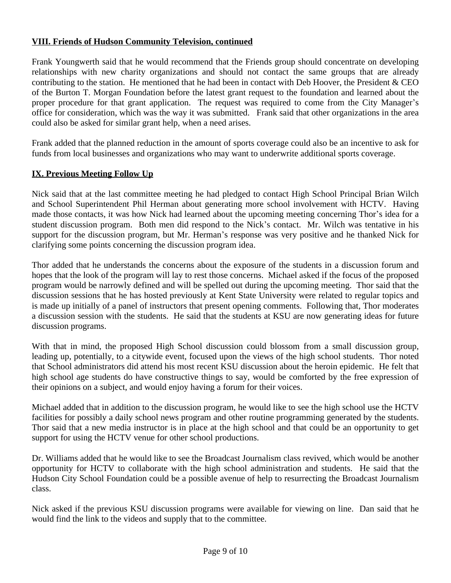#### **VIII. Friends of Hudson Community Television, continued**

Frank Youngwerth said that he would recommend that the Friends group should concentrate on developing relationships with new charity organizations and should not contact the same groups that are already contributing to the station. He mentioned that he had been in contact with Deb Hoover, the President  $&$  CEO of the Burton T. Morgan Foundation before the latest grant request to the foundation and learned about the proper procedure for that grant application. The request was required to come from the City Manager's office for consideration, which was the way it was submitted. Frank said that other organizations in the area could also be asked for similar grant help, when a need arises.

Frank added that the planned reduction in the amount of sports coverage could also be an incentive to ask for funds from local businesses and organizations who may want to underwrite additional sports coverage.

#### **IX. Previous Meeting Follow Up**

Nick said that at the last committee meeting he had pledged to contact High School Principal Brian Wilch and School Superintendent Phil Herman about generating more school involvement with HCTV. Having made those contacts, it was how Nick had learned about the upcoming meeting concerning Thor's idea for a student discussion program. Both men did respond to the Nick's contact. Mr. Wilch was tentative in his support for the discussion program, but Mr. Herman's response was very positive and he thanked Nick for clarifying some points concerning the discussion program idea.

Thor added that he understands the concerns about the exposure of the students in a discussion forum and hopes that the look of the program will lay to rest those concerns. Michael asked if the focus of the proposed program would be narrowly defined and will be spelled out during the upcoming meeting. Thor said that the discussion sessions that he has hosted previously at Kent State University were related to regular topics and is made up initially of a panel of instructors that present opening comments. Following that, Thor moderates a discussion session with the students. He said that the students at KSU are now generating ideas for future discussion programs.

With that in mind, the proposed High School discussion could blossom from a small discussion group, leading up, potentially, to a citywide event, focused upon the views of the high school students. Thor noted that School administrators did attend his most recent KSU discussion about the heroin epidemic. He felt that high school age students do have constructive things to say, would be comforted by the free expression of their opinions on a subject, and would enjoy having a forum for their voices.

Michael added that in addition to the discussion program, he would like to see the high school use the HCTV facilities for possibly a daily school news program and other routine programming generated by the students. Thor said that a new media instructor is in place at the high school and that could be an opportunity to get support for using the HCTV venue for other school productions.

Dr. Williams added that he would like to see the Broadcast Journalism class revived, which would be another opportunity for HCTV to collaborate with the high school administration and students. He said that the Hudson City School Foundation could be a possible avenue of help to resurrecting the Broadcast Journalism class.

Nick asked if the previous KSU discussion programs were available for viewing on line. Dan said that he would find the link to the videos and supply that to the committee.